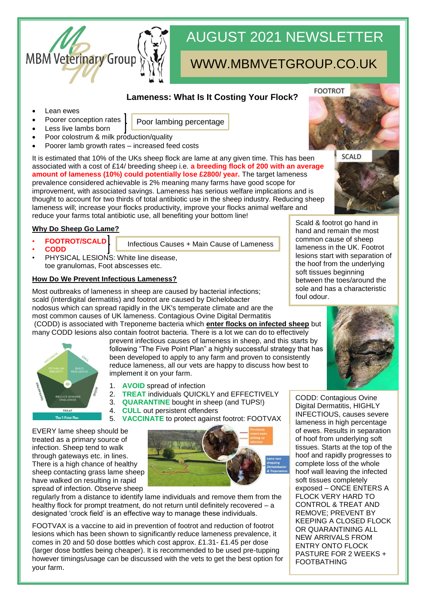

# AUGUST 2021 NEWSLETTER

## WWW.MBMVETGROUP.CO.UK

### **Lameness: What Is It Costing Your Flock?**

- Lean ewes
- Poor lambing percentage
- Less live lambs born

Poorer conception rates

- Poor colostrum & milk production/quality
- Poorer lamb growth rates increased feed costs

It is estimated that 10% of the UKs sheep flock are lame at any given time. This has been associated with a cost of £14/ breeding sheep i.e. **a breeding flock of 200 with an average amount of lameness (10%) could potentially lose £2800/ year.** The target lameness prevalence considered achievable is 2% meaning many farms have good scope for improvement, with associated savings. Lameness has serious welfare implications and is thought to account for two thirds of total antibiotic use in the sheep industry. Reducing sheep lameness will; increase your flocks productivity, improve your flocks animal welfare and reduce your farms total antibiotic use, all benefiting your bottom line!

#### **Why Do Sheep Go Lame?**

- **FOOTROT/SCALD** • **CODD**
- Infectious Causes + Main Cause of Lameness
- PHYSICAL LESIONS: White line disease, toe granulomas, Foot abscesses etc.

#### **How Do We Prevent Infectious Lameness?**

Most outbreaks of lameness in sheep are caused by bacterial infections; scald (interdigital dermatitis) and footrot are caused by Dichelobacter nodosus which can spread rapidly in the UK's temperate climate and are the most common causes of UK lameness. Contagious Ovine Digital Dermatitis (CODD) is associated with Treponeme bacteria which **enter flocks on infected sheep** but many CODD lesions also contain footrot bacteria. There is a lot we can do to effectively



prevent infectious causes of lameness in sheep, and this starts by following "The Five Point Plan" a highly successful strategy that has been developed to apply to any farm and proven to consistently reduce lameness, all our vets are happy to discuss how best to implement it on your farm.

- 1. **AVOID** spread of infection
- 2. **TREAT** individuals QUICKLY and EFFECTIVELY
- 3. **QUARANTINE** bought in sheep (and TUPS!)
- 4. **CULL** out persistent offenders
- 5. **VACCINATE** to protect against footrot: FOOTVAX

EVERY lame sheep should be treated as a primary source of infection. Sheep tend to walk through gateways etc. in lines. There is a high chance of healthy sheep contacting grass lame sheep have walked on resulting in rapid spread of infection. Observe sheep



regularly from a distance to identify lame individuals and remove them from the healthy flock for prompt treatment, do not return until definitely recovered – a designated 'crock field' is an effective way to manage these individuals.

FOOTVAX is a vaccine to aid in prevention of footrot and reduction of footrot lesions which has been shown to significantly reduce lameness prevalence, it comes in 20 and 50 dose bottles which cost approx. £1.31- £1.45 per dose (larger dose bottles being cheaper). It is recommended to be used pre-tupping however timings/usage can be discussed with the vets to get the best option for your farm.

Scald & footrot go hand in hand and remain the most common cause of sheep lameness in the UK. Footrot lesions start with separation of the hoof from the underlying soft tissues beginning between the toes/around the sole and has a characteristic foul odour.

SCALD



CODD: Contagious Ovine Digital Dermatitis, HIGHLY INFECTIOUS, causes severe lameness in high percentage of ewes. Results in separation of hoof from underlying soft tissues. Starts at the top of the hoof and rapidly progresses to complete loss of the whole hoof wall leaving the infected soft tissues completely exposed – ONCE ENTERS A FLOCK VERY HARD TO CONTROL & TREAT AND REMOVE; PREVENT BY KEEPING A CLOSED FLOCK OR QUARANTINING ALL NEW ARRIVALS FROM ENTRY ONTO FLOCK PASTURE FOR 2 WEEKS + FOOTBATHING